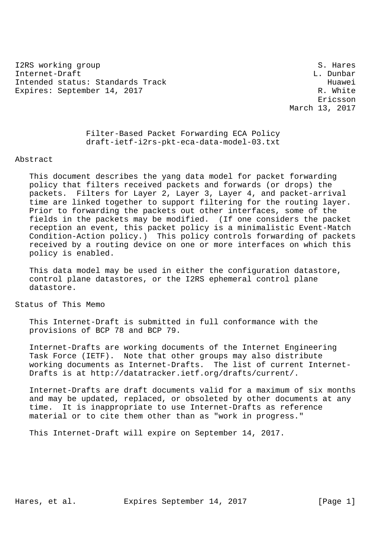I2RS working group states and states and states of the states of the states of the states of the states of the states of the states of the states of the states of the states of the states of the states of the states of the Internet-Draft L. Dunbar L. Dunbar L. Dunbar L. Dunbar L. Dunbar L. Dunbar L. Dunbar L. Dunbar L. Dunbar L. Dunbar Intended status: Standards Track Huawei Expires: September 14, 2017 R. White

 Ericsson March 13, 2017

> Filter-Based Packet Forwarding ECA Policy draft-ietf-i2rs-pkt-eca-data-model-03.txt

## Abstract

 This document describes the yang data model for packet forwarding policy that filters received packets and forwards (or drops) the packets. Filters for Layer 2, Layer 3, Layer 4, and packet-arrival time are linked together to support filtering for the routing layer. Prior to forwarding the packets out other interfaces, some of the fields in the packets may be modified. (If one considers the packet reception an event, this packet policy is a minimalistic Event-Match Condition-Action policy.) This policy controls forwarding of packets received by a routing device on one or more interfaces on which this policy is enabled.

 This data model may be used in either the configuration datastore, control plane datastores, or the I2RS ephemeral control plane datastore.

Status of This Memo

 This Internet-Draft is submitted in full conformance with the provisions of BCP 78 and BCP 79.

 Internet-Drafts are working documents of the Internet Engineering Task Force (IETF). Note that other groups may also distribute working documents as Internet-Drafts. The list of current Internet- Drafts is at http://datatracker.ietf.org/drafts/current/.

 Internet-Drafts are draft documents valid for a maximum of six months and may be updated, replaced, or obsoleted by other documents at any time. It is inappropriate to use Internet-Drafts as reference material or to cite them other than as "work in progress."

This Internet-Draft will expire on September 14, 2017.

Hares, et al. Expires September 14, 2017 [Page 1]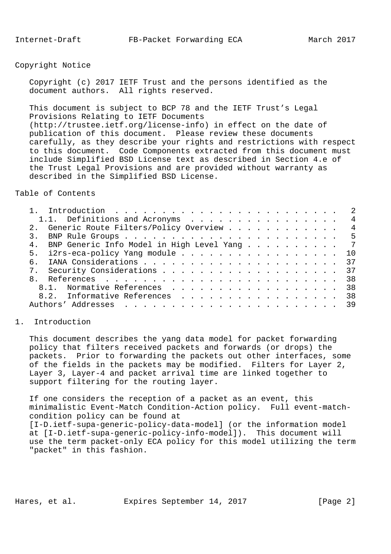Copyright Notice

 Copyright (c) 2017 IETF Trust and the persons identified as the document authors. All rights reserved.

 This document is subject to BCP 78 and the IETF Trust's Legal Provisions Relating to IETF Documents (http://trustee.ietf.org/license-info) in effect on the date of publication of this document. Please review these documents carefully, as they describe your rights and restrictions with respect to this document. Code Components extracted from this document must include Simplified BSD License text as described in Section 4.e of the Trust Legal Provisions and are provided without warranty as described in the Simplified BSD License.

Table of Contents

|    |                                                |  |  |  |  | $\overline{\phantom{0}}^2$ |
|----|------------------------------------------------|--|--|--|--|----------------------------|
|    | 1.1. Definitions and Acronyms                  |  |  |  |  | $\overline{4}$             |
|    | 2. Generic Route Filters/Policy Overview       |  |  |  |  | $\overline{4}$             |
|    |                                                |  |  |  |  |                            |
|    | 4. BNP Generic Info Model in High Level Yang 7 |  |  |  |  |                            |
|    | 5. i2rs-eca-policy Yang module 10              |  |  |  |  |                            |
| б. |                                                |  |  |  |  |                            |
|    |                                                |  |  |  |  | -37                        |
|    |                                                |  |  |  |  | 38                         |
|    | 8.1. Normative References                      |  |  |  |  | 38                         |
|    | 8.2. Informative References 38                 |  |  |  |  |                            |
|    |                                                |  |  |  |  |                            |
|    |                                                |  |  |  |  |                            |

## 1. Introduction

 This document describes the yang data model for packet forwarding policy that filters received packets and forwards (or drops) the packets. Prior to forwarding the packets out other interfaces, some of the fields in the packets may be modified. Filters for Layer 2, Layer 3, Layer-4 and packet arrival time are linked together to support filtering for the routing layer.

 If one considers the reception of a packet as an event, this minimalistic Event-Match Condition-Action policy. Full event-match condition policy can be found at

 [I-D.ietf-supa-generic-policy-data-model] (or the information model at [I-D.ietf-supa-generic-policy-info-model]). This document will use the term packet-only ECA policy for this model utilizing the term "packet" in this fashion.

Hares, et al. Expires September 14, 2017 [Page 2]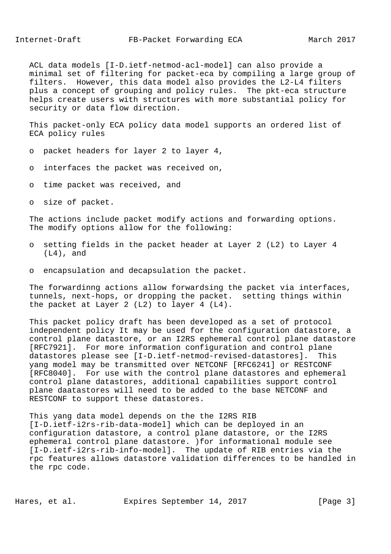ACL data models [I-D.ietf-netmod-acl-model] can also provide a minimal set of filtering for packet-eca by compiling a large group of filters. However, this data model also provides the L2-L4 filters plus a concept of grouping and policy rules. The pkt-eca structure helps create users with structures with more substantial policy for security or data flow direction.

 This packet-only ECA policy data model supports an ordered list of ECA policy rules

- o packet headers for layer 2 to layer 4,
- o interfaces the packet was received on,
- o time packet was received, and
- o size of packet.

 The actions include packet modify actions and forwarding options. The modify options allow for the following:

- o setting fields in the packet header at Layer 2 (L2) to Layer 4 (L4), and
- o encapsulation and decapsulation the packet.

 The forwardinng actions allow forwardsing the packet via interfaces, tunnels, next-hops, or dropping the packet. setting things within the packet at Layer 2 (L2) to layer 4 (L4).

 This packet policy draft has been developed as a set of protocol independent policy It may be used for the configuration datastore, a control plane datastore, or an I2RS ephemeral control plane datastore [RFC7921]. For more information configuration and control plane datastores please see [I-D.ietf-netmod-revised-datastores]. This yang model may be transmitted over NETCONF [RFC6241] or RESTCONF [RFC8040]. For use with the control plane datastores and ephemeral control plane datastores, additional capabilities support control plane daatastores will need to be added to the base NETCONF and RESTCONF to support these datastores.

 This yang data model depends on the the I2RS RIB [I-D.ietf-i2rs-rib-data-model] which can be deployed in an configuration datastore, a control plane datastore, or the I2RS ephemeral control plane datastore. )for informational module see [I-D.ietf-i2rs-rib-info-model]. The update of RIB entries via the rpc features allows datastore validation differences to be handled in the rpc code.

Hares, et al. Expires September 14, 2017 [Page 3]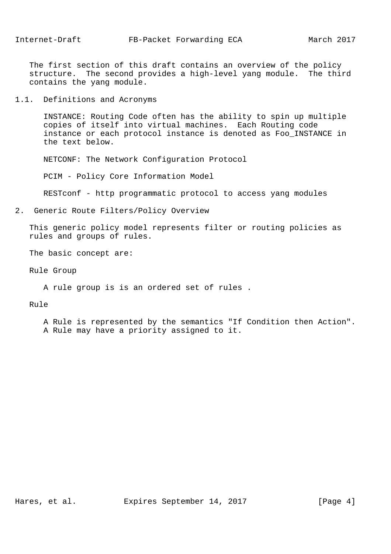The first section of this draft contains an overview of the policy structure. The second provides a high-level yang module. The third contains the yang module.

1.1. Definitions and Acronyms

 INSTANCE: Routing Code often has the ability to spin up multiple copies of itself into virtual machines. Each Routing code instance or each protocol instance is denoted as Foo\_INSTANCE in the text below.

NETCONF: The Network Configuration Protocol

PCIM - Policy Core Information Model

RESTconf - http programmatic protocol to access yang modules

2. Generic Route Filters/Policy Overview

 This generic policy model represents filter or routing policies as rules and groups of rules.

The basic concept are:

Rule Group

A rule group is is an ordered set of rules .

Rule

 A Rule is represented by the semantics "If Condition then Action". A Rule may have a priority assigned to it.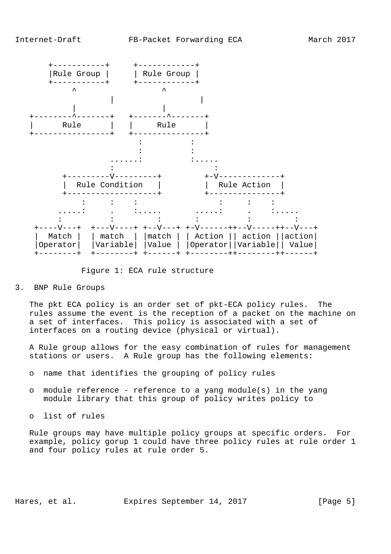

Figure 1: ECA rule structure

3. BNP Rule Groups

 The pkt ECA policy is an order set of pkt-ECA policy rules. The rules assume the event is the reception of a packet on the machine on a set of interfaces. This policy is associated with a set of interfaces on a routing device (physical or virtual).

 A Rule group allows for the easy combination of rules for management stations or users. A Rule group has the following elements:

- o name that identifies the grouping of policy rules
- o module reference reference to a yang module(s) in the yang module library that this group of policy writes policy to
- o list of rules

 Rule groups may have multiple policy groups at specific orders. For example, policy gorup 1 could have three policy rules at rule order 1 and four policy rules at rule order 5.

Hares, et al. Expires September 14, 2017 [Page 5]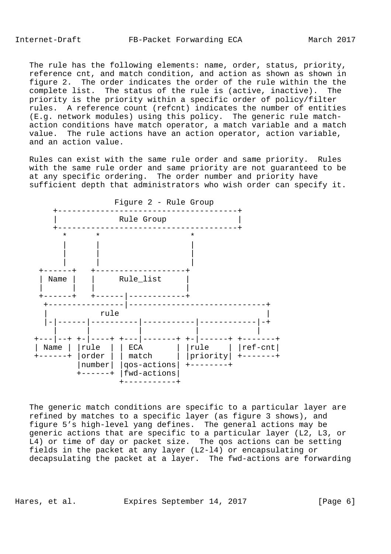The rule has the following elements: name, order, status, priority, reference cnt, and match condition, and action as shown as shown in figure 2. The order indicates the order of the rule within the the complete list. The status of the rule is (active, inactive). The priority is the priority within a specific order of policy/filter rules. A reference count (refcnt) indicates the number of entities (E.g. network modules) using this policy. The generic rule match action conditions have match operator, a match variable and a match value. The rule actions have an action operator, action variable, and an action value.

 Rules can exist with the same rule order and same priority. Rules with the same rule order and same priority are not guaranteed to be at any specific ordering. The order number and priority have sufficient depth that administrators who wish order can specify it.



 The generic match conditions are specific to a particular layer are refined by matches to a specific layer (as figure 3 shows), and figure 5's high-level yang defines. The general actions may be generic actions that are specific to a particular layer (L2, L3, or L4) or time of day or packet size. The qos actions can be setting fields in the packet at any layer (L2-l4) or encapsulating or decapsulating the packet at a layer. The fwd-actions are forwarding

Hares, et al. Expires September 14, 2017 [Page 6]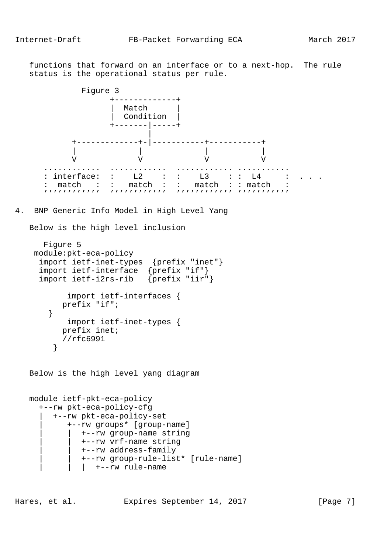functions that forward on an interface or to a next-hop. The rule status is the operational status per rule.

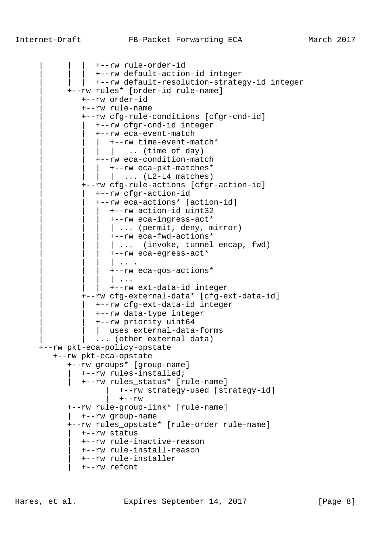| | | +--rw rule-order-id | | | +--rw default-action-id integer | +--rw default-resolution-strategy-id integer | +--rw rules\* [order-id rule-name] | +--rw order-id | +--rw rule-name | +--rw cfg-rule-conditions [cfgr-cnd-id] | | +--rw cfgr-cnd-id integer | | +--rw eca-event-match  $|$  +--rw time-event-match\*  $\vert \vert$  .. (time of day) | | +--rw eca-condition-match  $|$  +--rw eca-pkt-matches\*  $|\quad \ldots \quad$  (L2-L4 matches) | +--rw cfg-rule-actions [cfgr-action-id] | | +--rw cfgr-action-id | | +--rw eca-actions\* [action-id] | | | +--rw action-id uint32 | | | +--rw eca-ingress-act\*  $| ...$  (permit, deny, mirror) | | | +--rw eca-fwd-actions\* | ... (invoke, tunnel encap, fwd) | | | +--rw eca-egress-act\*  $\| \cdot \cdot \cdot \|$  | | | +--rw eca-qos-actions\*  $\parallel \cdot \cdot \cdot$  | | | +--rw ext-data-id integer | +--rw cfg-external-data\* [cfg-ext-data-id] | | +--rw cfg-ext-data-id integer | | +--rw data-type integer | | +--rw priority uint64 | uses external-data-forms ... (other external data) +--rw pkt-eca-policy-opstate +--rw pkt-eca-opstate +--rw groups\* [group-name] | +--rw rules-installed; | +--rw rules\_status\* [rule-name] | +--rw strategy-used [strategy-id]  $+--rw$  +--rw rule-group-link\* [rule-name] | +--rw group-name +--rw rules\_opstate\* [rule-order rule-name] | +--rw status | +--rw rule-inactive-reason | +--rw rule-install-reason | +--rw rule-installer | +--rw refcnt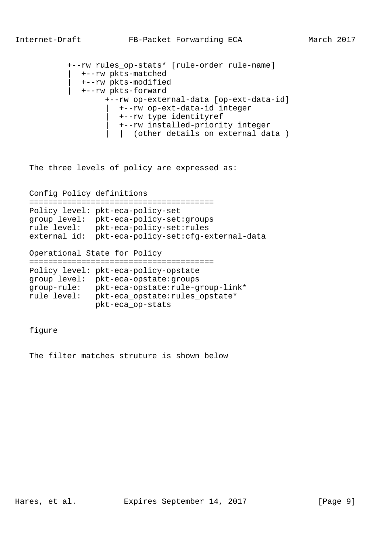```
 +--rw rules_op-stats* [rule-order rule-name]
    | +--rw pkts-matched
    | +--rw pkts-modified
    | +--rw pkts-forward
         +--rw op-external-data [op-ext-data-id]
            | +--rw op-ext-data-id integer
            | +--rw type identityref
            | +--rw installed-priority integer
           | (other details on external data )
```
The three levels of policy are expressed as:

Config Policy definitions

|              | Policy level: pkt-eca-policy-set        |
|--------------|-----------------------------------------|
|              | group level: pkt-eca-policy-set: groups |
| rule level:  | pkt-eca-policy-set:rules                |
| external id: | pkt-eca-policy-set:cfg-external-data    |

Operational State for Policy

```
 =======================================
 Policy level: pkt-eca-policy-opstate
 group level: pkt-eca-opstate:groups
 group-rule: pkt-eca-opstate:rule-group-link*
 rule level: pkt-eca_opstate:rules_opstate*
              pkt-eca_op-stats
```
figure

The filter matches struture is shown below

Hares, et al. Expires September 14, 2017 [Page 9]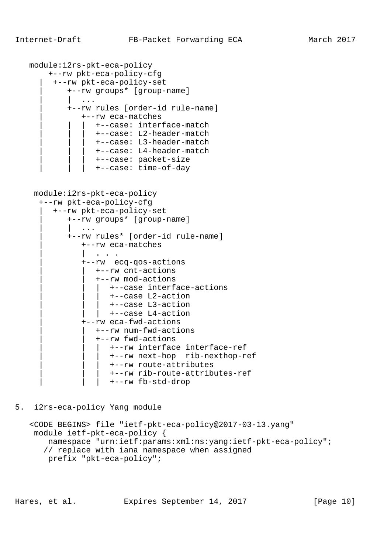```
 module:i2rs-pkt-eca-policy
         +--rw pkt-eca-policy-cfg
          | +--rw pkt-eca-policy-set
              | +--rw groups* [group-name]
                 | | ...
              | +--rw rules [order-id rule-name]
                 | +--rw eca-matches
                     | | | +--case: interface-match
                     | | | +--case: L2-header-match
                     | | | +--case: L3-header-match
                     | | | +--case: L4-header-match
                     | | | +--case: packet-size
                     | | | +--case: time-of-day
     module:i2rs-pkt-eca-policy
       +--rw pkt-eca-policy-cfg
          | +--rw pkt-eca-policy-set
              | +--rw groups* [group-name]
| | .... | .... | ....
              | +--rw rules* [order-id rule-name]
                 | +--rw eca-matches
                     | | . . .
                 | +--rw ecq-qos-actions
                   | | +--rw cnt-actions
                    | | +--rw mod-actions
                        | | | +--case interface-actions
                        | | | +--case L2-action
                        | | | +--case L3-action
                       | | | +--case L4-action
                 | +--rw eca-fwd-actions
                    | | +--rw num-fwd-actions
                     | | +--rw fwd-actions
                        | | | +--rw interface interface-ref
                        | | | +--rw next-hop rib-nexthop-ref
                        | | | +--rw route-attributes
                        | | | +--rw rib-route-attributes-ref
                        | | | +--rw fb-std-drop
```
5. i2rs-eca-policy Yang module

```
 <CODE BEGINS> file "ietf-pkt-eca-policy@2017-03-13.yang"
 module ietf-pkt-eca-policy {
    namespace "urn:ietf:params:xml:ns:yang:ietf-pkt-eca-policy";
    // replace with iana namespace when assigned
    prefix "pkt-eca-policy";
```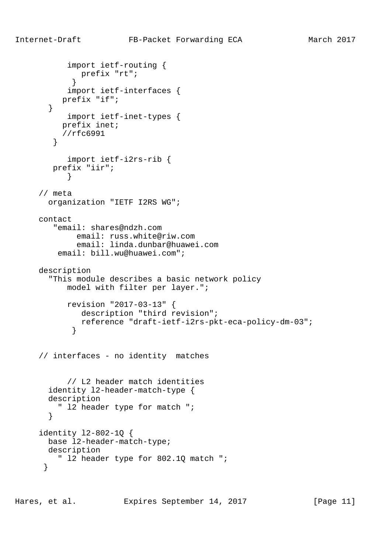```
 import ietf-routing {
              prefix "rt";
 }
            import ietf-interfaces {
          prefix "if";
        }
           import ietf-inet-types {
          prefix inet;
        //rfc6991<br>}
 }
           import ietf-i2rs-rib {
        prefix "iir";
 }
      // meta
       organization "IETF I2RS WG";
     contact
         "email: shares@ndzh.com
              email: russ.white@riw.com
              email: linda.dunbar@huawei.com
         email: bill.wu@huawei.com";
     description
        "This module describes a basic network policy
           model with filter per layer.";
           revision "2017-03-13" {
             description "third revision";
             reference "draft-ietf-i2rs-pkt-eca-policy-dm-03";
 }
     // interfaces - no identity matches
           // L2 header match identities
       identity l2-header-match-type {
       description
         " l2 header type for match ";
        }
      identity l2-802-1Q {
       base l2-header-match-type;
       description
         " l2 header type for 802.1Q match ";
       }
```
Hares, et al. Expires September 14, 2017 [Page 11]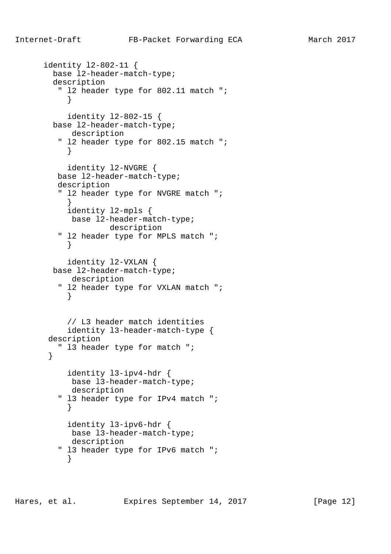```
 identity l2-802-11 {
        base l2-header-match-type;
        description
         " l2 header type for 802.11 match ";
 }
           identity l2-802-15 {
        base l2-header-match-type;
           description
         " l2 header type for 802.15 match ";
 }
           identity l2-NVGRE {
         base l2-header-match-type;
         description
         " l2 header type for NVGRE match ";
 }
           identity l2-mpls {
           base l2-header-match-type;
                   description
         " l2 header type for MPLS match ";
 }
           identity l2-VXLAN {
        base l2-header-match-type;
           description
         " l2 header type for VXLAN match ";
 }
           // L3 header match identities
           identity l3-header-match-type {
       description
         " l3 header type for match ";
       }
           identity l3-ipv4-hdr {
           base l3-header-match-type;
           description
         " l3 header type for IPv4 match ";
 }
           identity l3-ipv6-hdr {
           base l3-header-match-type;
           description
         " l3 header type for IPv6 match ";
 }
```
Hares, et al. Expires September 14, 2017 [Page 12]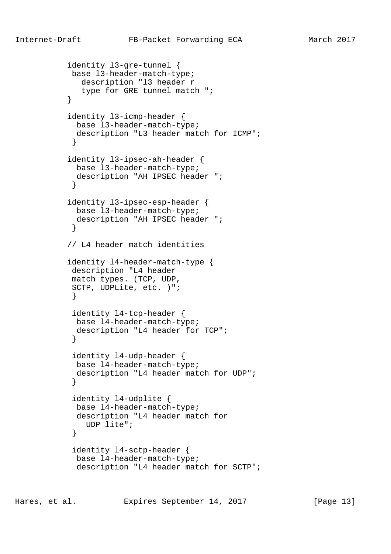```
 identity l3-gre-tunnel {
            base l3-header-match-type;
              description "l3 header r
              type for GRE tunnel match ";
 }
           identity l3-icmp-header {
             base l3-header-match-type;
             description "L3 header match for ICMP";
 }
           identity l3-ipsec-ah-header {
            base l3-header-match-type;
             description "AH IPSEC header ";
 }
           identity l3-ipsec-esp-header {
             base l3-header-match-type;
             description "AH IPSEC header ";
 }
           // L4 header match identities
           identity l4-header-match-type {
            description "L4 header
            match types. (TCP, UDP,
            SCTP, UDPLite, etc. )";
 }
            identity l4-tcp-header {
            base l4-header-match-type;
             description "L4 header for TCP";
 }
            identity l4-udp-header {
             base l4-header-match-type;
             description "L4 header match for UDP";
 }
            identity l4-udplite {
             base l4-header-match-type;
             description "L4 header match for
               UDP lite";
 }
            identity l4-sctp-header {
             base l4-header-match-type;
             description "L4 header match for SCTP";
```
Hares, et al. Expires September 14, 2017 [Page 13]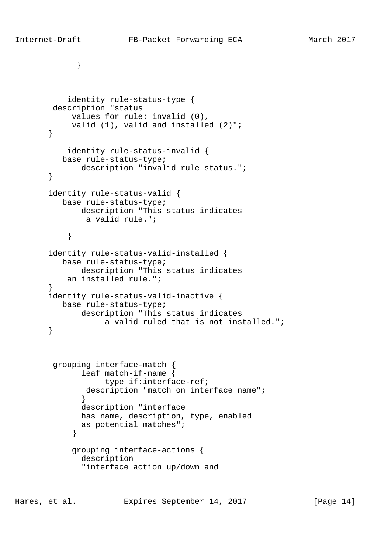```
 identity rule-status-type {
        description "status
            values for rule: invalid (0),
            valid (1), valid and installed (2)";
        }
           identity rule-status-invalid {
          base rule-status-type;
              description "invalid rule status.";
        }
        identity rule-status-valid {
          base rule-status-type;
              description "This status indicates
               a valid rule.";
 }
        identity rule-status-valid-installed {
          base rule-status-type;
              description "This status indicates
           an installed rule.";
        }
        identity rule-status-valid-inactive {
          base rule-status-type;
              description "This status indicates
                    a valid ruled that is not installed.";
        }
        grouping interface-match {
               leaf match-if-name {
                   type if:interface-ref;
              description "match on interface name";
 }
               description "interface
              has name, description, type, enabled
               as potential matches";
 }
             grouping interface-actions {
```

```
 description
 "interface action up/down and
```
Hares, et al. Expires September 14, 2017 [Page 14]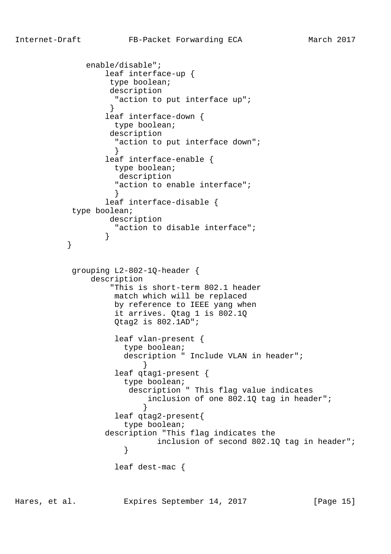```
 enable/disable";
                 leaf interface-up {
                  type boolean;
                  description
                  "action to put interface up";
 }
                 leaf interface-down {
                   type boolean;
                  description
                  "action to put interface down";
 }
                 leaf interface-enable {
                   type boolean;
                    description
                   "action to enable interface";
 }
                 leaf interface-disable {
           type boolean;
                  description
                   "action to disable interface";
 }
 }
           grouping L2-802-1Q-header {
               description
                  "This is short-term 802.1 header
                   match which will be replaced
                   by reference to IEEE yang when
                   it arrives. Qtag 1 is 802.1Q
                   Qtag2 is 802.1AD";
                   leaf vlan-present {
                     type boolean;
                     description " Include VLAN in header";
 }
                   leaf qtag1-present {
                     type boolean;
                      description " This flag value indicates
                          inclusion of one 802.1Q tag in header";
 }
                   leaf qtag2-present{
                     type boolean;
                 description "This flag indicates the
                    inclusion of second 802.1Q tag in header";<br>}
 }
                   leaf dest-mac {
```
Hares, et al. Expires September 14, 2017 [Page 15]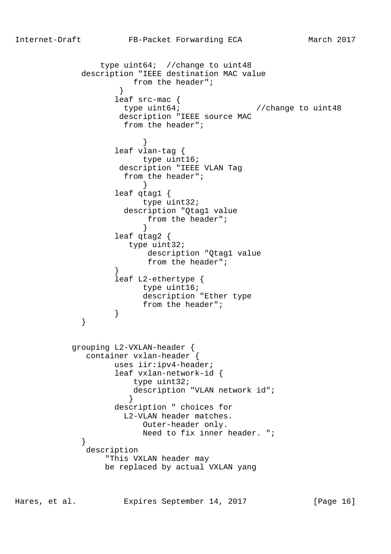type uint64; //change to uint48 description "IEEE destination MAC value from the header"; } leaf src-mac { type uint64 $\dot{i}$  //change to uint48 description "IEEE source MAC from the header"; } leaf vlan-tag { type uint16; description "IEEE VLAN Tag from the header"; } leaf qtag1 { type uint32; description "Qtag1 value from the header"; } leaf qtag2 { type uint32; description "Qtag1 value from the header"; } leaf L2-ethertype { type uint16; description "Ether type from the header";<br>} } } grouping L2-VXLAN-header { container vxlan-header { uses iir:ipv4-header; leaf vxlan-network-id { type uint32; description "VLAN network id"; } description " choices for L2-VLAN header matches. Outer-header only. Need to fix inner header. "; } description "This VXLAN header may be replaced by actual VXLAN yang

Hares, et al. Expires September 14, 2017 [Page 16]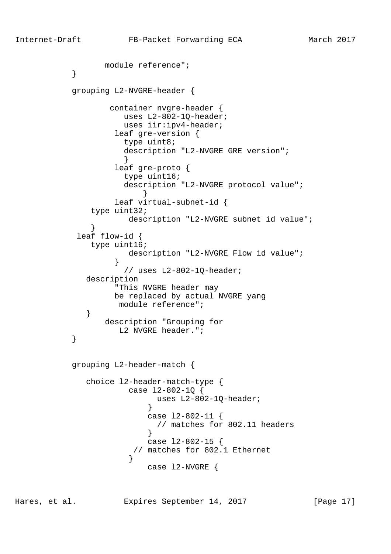```
 module reference";
 }
           grouping L2-NVGRE-header {
                 container nvgre-header {
                    uses L2-802-1Q-header;
                    uses iir:ipv4-header;
                  leaf gre-version {
                    type uint8;
                    description "L2-NVGRE GRE version";
 }
                  leaf gre-proto {
                    type uint16;
                    description "L2-NVGRE protocol value";
 }
                  leaf virtual-subnet-id {
              type uint32;
                     description "L2-NVGRE subnet id value";
 }
           leaf flow-id {
              type uint16;
                    description "L2-NVGRE Flow id value";
 }
                    // uses L2-802-1Q-header;
             description
                  "This NVGRE header may
                  be replaced by actual NVGRE yang
                   module reference";
 }
                description "Grouping for
          L2 NVGRE header.";
 }
           grouping L2-header-match {
             choice l2-header-match-type {
                     case l2-802-1Q {
                          uses L2-802-1Q-header;
 }
                        case l2-802-11 {
                          // matches for 802.11 headers
 }
                        case l2-802-15 {
                      // matches for 802.1 Ethernet
 }
                        case l2-NVGRE {
```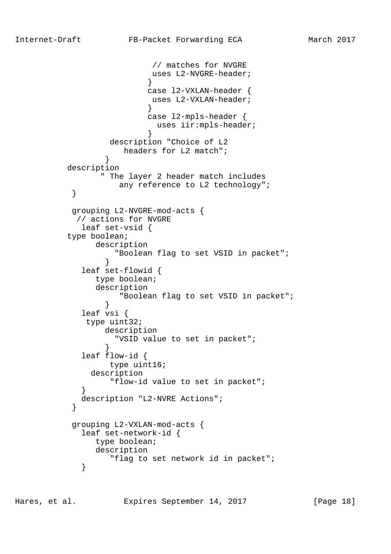```
 // matches for NVGRE
                         uses L2-NVGRE-header;
 }
                        case l2-VXLAN-header {
                         uses L2-VXLAN-header;
 }
                        case l2-mpls-header {
                         uses iir:mpls-header;
 }
                 description "Choice of L2
                    headers for L2 match";
 }
          description
                " The layer 2 header match includes
                   any reference to L2 technology";
 }
           grouping L2-NVGRE-mod-acts {
           // actions for NVGRE
            leaf set-vsid {
          type boolean;
               description
                 "Boolean flag to set VSID in packet";
 }
            leaf set-flowid {
               type boolean;
               description
                   "Boolean flag to set VSID in packet";
 }
            leaf vsi {
             type uint32;
                 description
                  "VSID value to set in packet";
 }
            leaf flow-id {
                 type uint16;
              description
                 "flow-id value to set in packet";
 }
            description "L2-NVRE Actions";
 }
           grouping L2-VXLAN-mod-acts {
            leaf set-network-id {
               type boolean;
               description
                 "flag to set network id in packet";
 }
```
Hares, et al. Expires September 14, 2017 [Page 18]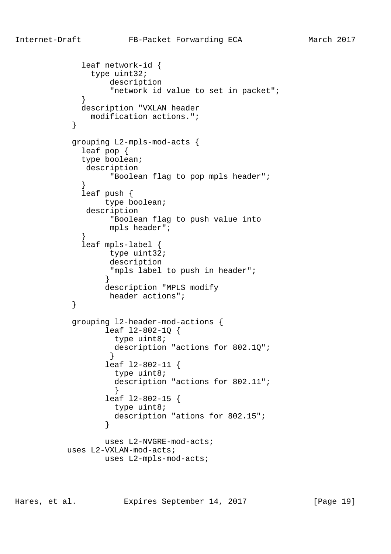```
 leaf network-id {
               type uint32;
                  description
                   "network id value to set in packet";
 }
             description "VXLAN header
              modification actions.";
 }
           grouping L2-mpls-mod-acts {
             leaf pop {
             type boolean;
              description
                   "Boolean flag to pop mpls header";
 }
             leaf push {
                  type boolean;
              description
                   "Boolean flag to push value into
                  mpls header";
 }
             leaf mpls-label {
                  type uint32;
                  description
                  "mpls label to push in header";
 }
                  description "MPLS modify
                  header actions";
 }
           grouping l2-header-mod-actions {
                  leaf l2-802-1Q {
                    type uint8;
                   description "actions for 802.1Q";
 }
                  leaf l2-802-11 {
                   type uint8;
                   description "actions for 802.11";
 }
                  leaf l2-802-15 {
                   type uint8;
                   description "ations for 802.15";
 }
                  uses L2-NVGRE-mod-acts;
          uses L2-VXLAN-mod-acts;
                 uses L2-mpls-mod-acts;
```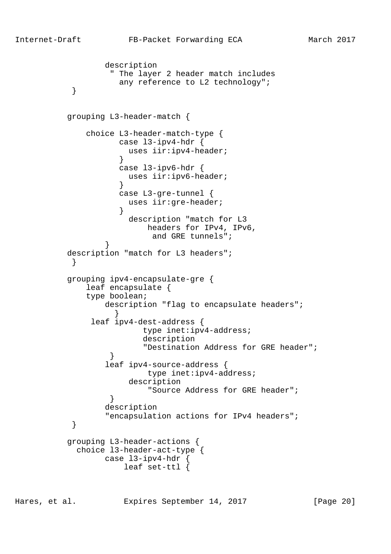```
 description
                  " The layer 2 header match includes
                    any reference to L2 technology";
 }
          grouping L3-header-match {
              choice L3-header-match-type {
                   case l3-ipv4-hdr {
                     uses iir:ipv4-header;
 }
                    case l3-ipv6-hdr {
                     uses iir:ipv6-header;
 }
                    case L3-gre-tunnel {
                     uses iir:gre-header;
 }
                     description "match for L3
                         headers for IPv4, IPv6,
                and GRE tunnels";
 }
          description "match for L3 headers";
 }
          grouping ipv4-encapsulate-gre {
              leaf encapsulate {
              type boolean;
                description "flag to encapsulate headers";
 }
              leaf ipv4-dest-address {
                        type inet:ipv4-address;
                        description
                        "Destination Address for GRE header";
 }
                 leaf ipv4-source-address {
                         type inet:ipv4-address;
                     description
                         "Source Address for GRE header";
 }
                 description
                 "encapsulation actions for IPv4 headers";
 }
          grouping L3-header-actions {
            choice l3-header-act-type {
                 case l3-ipv4-hdr {
                    leaf set-ttl {
```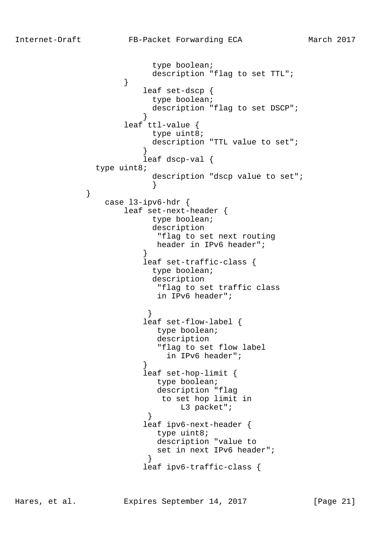```
 type boolean;
                        description "flag to set TTL";
 }
                      leaf set-dscp {
                        type boolean;
                        description "flag to set DSCP";
 }
                   leaf ttl-value {
                        type uint8;
                        description "TTL value to set";
 }
                       leaf dscp-val {
              type uint8;
                        description "dscp value to set";
 }
                case l3-ipv6-hdr {
                   leaf set-next-header {
                        type boolean;
                        description
                         "flag to set next routing
                         header in IPv6 header";
 }
                       leaf set-traffic-class {
                        type boolean;
                        description
                         "flag to set traffic class
                         in IPv6 header";
 }
                       leaf set-flow-label {
                         type boolean;
                         description
                         "flag to set flow label
                          in IPv6 header";
 }
                       leaf set-hop-limit {
                         type boolean;
                         description "flag
                         to set hop limit in
                           L3 packet";
 }
                       leaf ipv6-next-header {
                         type uint8;
                         description "value to
                         set in next IPv6 header";
 }
                       leaf ipv6-traffic-class {
```
Hares, et al. Expires September 14, 2017 [Page 21]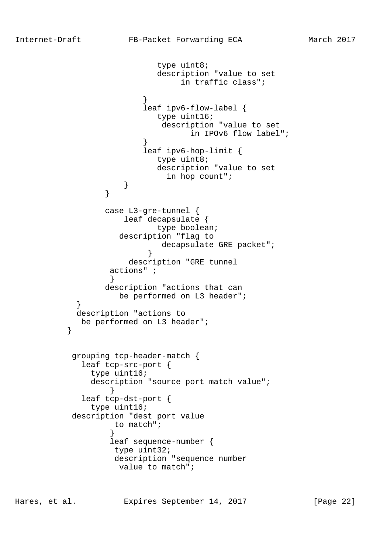```
 type uint8;
                          description "value to set
                              in traffic class";
 }
                       leaf ipv6-flow-label {
                          type uint16;
                           description "value to set
                                in IPOv6 flow label";
 }
                       leaf ipv6-hop-limit {
                          type uint8;
                          description "value to set
                            in hop count";
 }
 }
                 case L3-gre-tunnel {
                    leaf decapsulate {
                          type boolean;
                   description "flag to
                          decapsulate GRE packet";
 }
                     description "GRE tunnel
                 actions" ;
 }
                 description "actions that can
                   be performed on L3 header";
 }
           description "actions to
         be performed on L3 header";<br>}
 }
           grouping tcp-header-match {
            leaf tcp-src-port {
              type uint16;
              description "source port match value";
 }
            leaf tcp-dst-port {
              type uint16;
           description "dest port value
                  to match";
 }
                 leaf sequence-number {
                  type uint32;
                  description "sequence number
                   value to match";
```
Hares, et al. Expires September 14, 2017 [Page 22]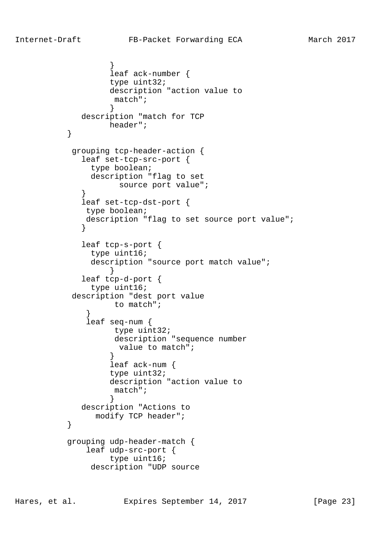```
 }
                  leaf ack-number {
                  type uint32;
                  description "action value to
                   match";
 }
             description "match for TCP
         header";<br>}
 }
           grouping tcp-header-action {
             leaf set-tcp-src-port {
              type boolean;
              description "flag to set
                   source port value";
 }
             leaf set-tcp-dst-port {
             type boolean;
            description "flag to set source port value";
 }
             leaf tcp-s-port {
              type uint16;
              description "source port match value";
 }
             leaf tcp-d-port {
              type uint16;
           description "dest port value
                  to match";
 }
              leaf seq-num {
                   type uint32;
                   description "sequence number
                    value to match";
 }
                  leaf ack-num {
                  type uint32;
                  description "action value to
                   match";
 }
             description "Actions to
               modify TCP header";
 }
          grouping udp-header-match {
              leaf udp-src-port {
                  type uint16;
              description "UDP source
```
Hares, et al. Expires September 14, 2017 [Page 23]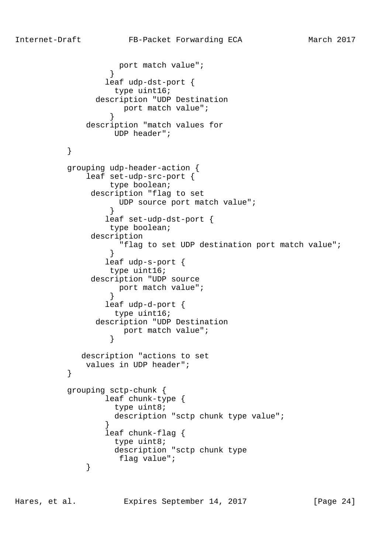port match value"; } leaf udp-dst-port { type uint16; description "UDP Destination port match value"; } description "match values for UDP header"; } grouping udp-header-action { leaf set-udp-src-port { type boolean; description "flag to set UDP source port match value"; } leaf set-udp-dst-port { type boolean; description "flag to set UDP destination port match value"; } leaf udp-s-port { type uint16; description "UDP source port match value"; } leaf udp-d-port { type uint16; description "UDP Destination port match value";<br>} } description "actions to set values in UDP header"; } grouping sctp-chunk { leaf chunk-type { type uint8; description "sctp chunk type value"; } leaf chunk-flag { type uint8; description "sctp chunk type flag value"; }

Hares, et al. Expires September 14, 2017 [Page 24]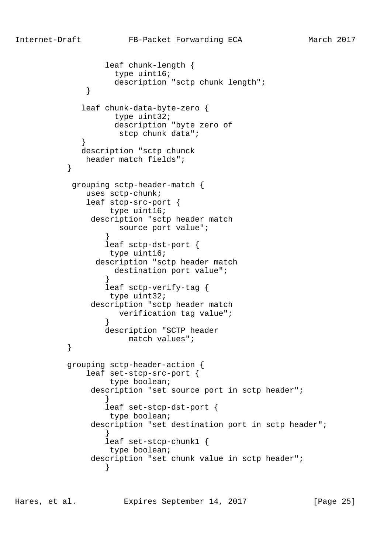```
 leaf chunk-length {
                   type uint16;
                   description "sctp chunk length";
 }
             leaf chunk-data-byte-zero {
                   type uint32;
                   description "byte zero of
                    stcp chunk data";
 }
             description "sctp chunck
              header match fields";
 }
           grouping sctp-header-match {
              uses sctp-chunk;
              leaf stcp-src-port {
                  type uint16;
               description "sctp header match
                    source port value";
 }
                  leaf sctp-dst-port {
                  type uint16;
                description "sctp header match
                  destination port value";
 }
                  leaf sctp-verify-tag {
                  type uint32;
               description "sctp header match
                    verification tag value";
 }
                 description "SCTP header
                     match values";
 }
          grouping sctp-header-action {
              leaf set-stcp-src-port {
                  type boolean;
              description "set source port in sctp header";
 }
                  leaf set-stcp-dst-port {
                  type boolean;
              description "set destination port in sctp header";
 }
                  leaf set-stcp-chunk1 {
                  type boolean;
              description "set chunk value in sctp header";
 }
```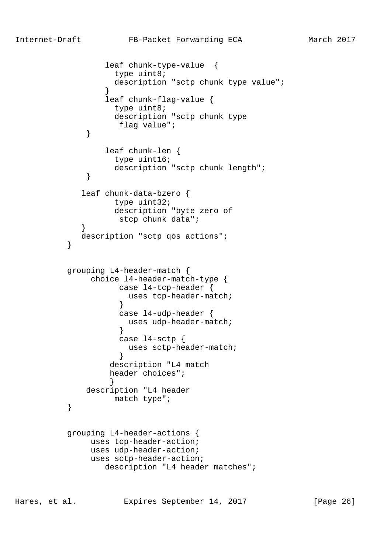```
 leaf chunk-type-value {
                   type uint8;
                  description "sctp chunk type value";
 }
                 leaf chunk-flag-value {
                  type uint8;
                  description "sctp chunk type
                   flag value";
 }
                 leaf chunk-len {
                  type uint16;
            description "sctp chunk length";
 }
             leaf chunk-data-bzero {
                  type uint32;
                  description "byte zero of
                   stcp chunk data";
 }
           description "sctp qos actions";
 }
          grouping L4-header-match {
              choice l4-header-match-type {
                   case l4-tcp-header {
                     uses tcp-header-match;
 }
                   case l4-udp-header {
                     uses udp-header-match;
 }
                   case l4-sctp {
                    uses sctp-header-match;
 }
                  description "L4 match
                  header choices";
 }
             description "L4 header
         match type";
 }
          grouping L4-header-actions {
              uses tcp-header-action;
              uses udp-header-action;
              uses sctp-header-action;
                 description "L4 header matches";
```
Hares, et al. Expires September 14, 2017 [Page 26]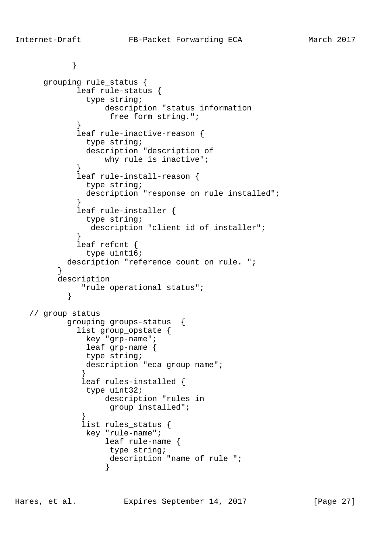```
 }
      grouping rule_status {
             leaf rule-status {
              type string;
                  description "status information
                  free form string.";
 }
             leaf rule-inactive-reason {
              type string;
              description "description of
                  why rule is inactive";
 }
             leaf rule-install-reason {
              type string;
              description "response on rule installed";
 }
             leaf rule-installer {
              type string;
               description "client id of installer";
 }
             leaf refcnt {
              type uint16;
           description "reference count on rule. ";
 }
         description
             "rule operational status";
 }
   // group status
           grouping groups-status {
             list group_opstate {
              key "grp-name";
              leaf grp-name {
              type string;
             description "eca group name";
 }
             leaf rules-installed {
              type uint32;
                  description "rules in
                   group installed";
 }
              list rules_status {
              key "rule-name";
                  leaf rule-name {
                   type string;
                   description "name of rule ";
 }
```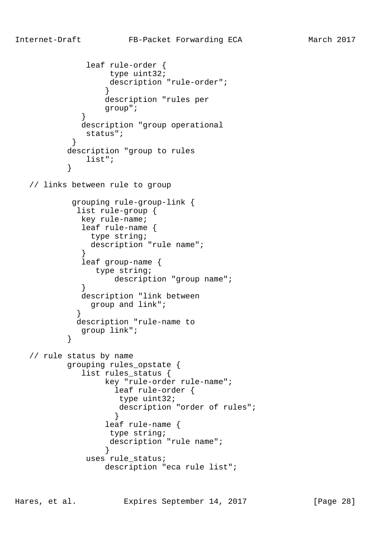```
 leaf rule-order {
                  type uint32;
                  description "rule-order";
 }
                  description "rules per
                  group";
 }
             description "group operational
              status";
 }
          description "group to rules
              list";
 }
   // links between rule to group
           grouping rule-group-link {
            list rule-group {
             key rule-name;
             leaf rule-name {
               type string;
               description "rule name";
 }
             leaf group-name {
               type string;
            description "group name";<br>}
 }
             description "link between
               group and link";
 }
            description "rule-name to
          group link";<br>}
 }
   // rule status by name
          grouping rules_opstate {
             list rules_status {
                  key "rule-order rule-name";
                   leaf rule-order {
                    type uint32;
                    description "order of rules";
 }
                  leaf rule-name {
                  type string;
                  description "rule name";
 }
              uses rule_status;
                  description "eca rule list";
```
Hares, et al. Expires September 14, 2017 [Page 28]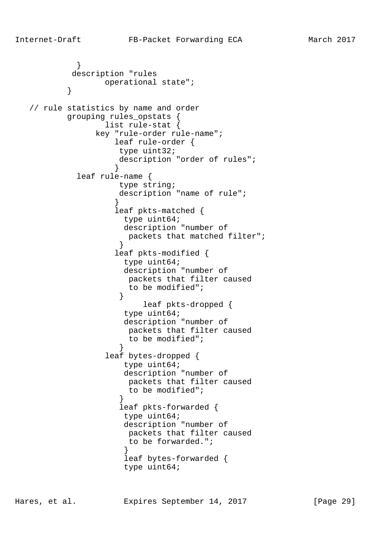```
 }
           description "rules
         operational state";<br>}
 }
   // rule statistics by name and order
          grouping rules_opstats {
                 list rule-stat {
               key "rule-order rule-name";
                   leaf rule-order {
                    type uint32;
                   description "order of rules";
 }
            leaf rule-name {
                    type string;
                    description "name of rule";
 }
                   leaf pkts-matched {
                    type uint64;
                     description "number of
                     packets that matched filter";
 }
                   leaf pkts-modified {
                     type uint64;
                     description "number of
                     packets that filter caused
                     to be modified";
 }
                        leaf pkts-dropped {
                     type uint64;
                     description "number of
                     packets that filter caused
                     to be modified";
 }
                 leaf bytes-dropped {
                     type uint64;
                     description "number of
                     packets that filter caused
                     to be modified";
 }
                    leaf pkts-forwarded {
                     type uint64;
                     description "number of
                     packets that filter caused
                     to be forwarded.";
 }
                     leaf bytes-forwarded {
                     type uint64;
```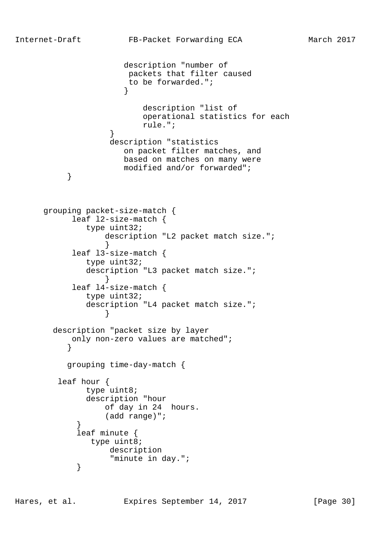```
 description "number of
                      packets that filter caused
                      to be forwarded.";
 }
                        description "list of
                        operational statistics for each
                        rule.";
 }
                  description "statistics
                     on packet filter matches, and
                     based on matches on many were
         modified and/or forwarded";<br>}
 }
      grouping packet-size-match {
           leaf l2-size-match {
              type uint32;
                 description "L2 packet match size.";
 }
           leaf l3-size-match {
              type uint32;
              description "L3 packet match size.";
 }
           leaf l4-size-match {
              type uint32;
              description "L4 packet match size.";
 }
       description "packet size by layer
           only non-zero values are matched";
 }
          grouping time-day-match {
        leaf hour {
              type uint8;
              description "hour
                 of day in 24 hours.
                 (add range)";
 }
            leaf minute {
              type uint8;
                  description
                  "minute in day.";
 }
```
Hares, et al. Expires September 14, 2017 [Page 30]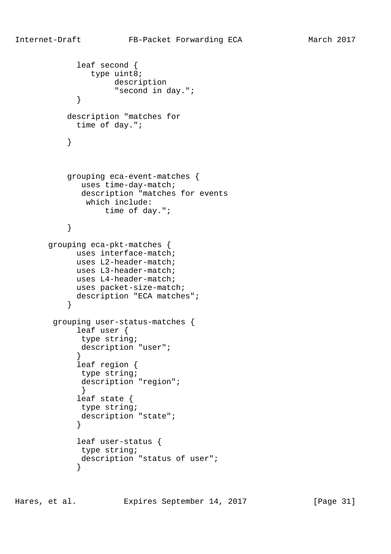```
 leaf second {
               type uint8;
                   description
                    "second in day.";
 }
           description "matches for
            time of day.";
 }
           grouping eca-event-matches {
             uses time-day-match;
             description "matches for events
              which include:
                  time of day.";
 }
       grouping eca-pkt-matches {
            uses interface-match;
            uses L2-header-match;
            uses L3-header-match;
            uses L4-header-match;
            uses packet-size-match;
            description "ECA matches";
 }
        grouping user-status-matches {
            leaf user {
             type string;
             description "user";
 }
             leaf region {
             type string;
             description "region";
 }
             leaf state {
             type string;
             description "state";
 }
             leaf user-status {
             type string;
             description "status of user";
 }
```
Hares, et al. Expires September 14, 2017 [Page 31]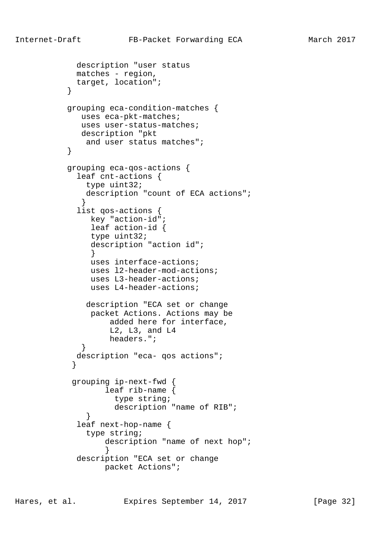```
 description "user status
             matches - region,
             target, location";
 }
           grouping eca-condition-matches {
              uses eca-pkt-matches;
              uses user-status-matches;
              description "pkt
               and user status matches";
 }
           grouping eca-qos-actions {
             leaf cnt-actions {
              type uint32;
              description "count of ECA actions";
 }
             list qos-actions {
               key "action-id";
                leaf action-id {
                type uint32;
                description "action id";
 }
                uses interface-actions;
                uses l2-header-mod-actions;
                uses L3-header-actions;
                uses L4-header-actions;
               description "ECA set or change
                packet Actions. Actions may be
                   added here for interface,
                   L2, L3, and L4
                   headers.";
 }
             description "eca- qos actions";
 }
            grouping ip-next-fwd {
                  leaf rib-name {
                    type string;
                    description "name of RIB";
 }
             leaf next-hop-name {
               type string;
                  description "name of next hop";
 }
             description "ECA set or change
                  packet Actions";
```
Hares, et al. Expires September 14, 2017 [Page 32]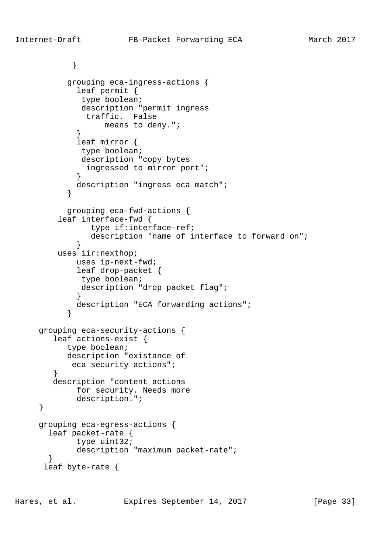```
 }
           grouping eca-ingress-actions {
             leaf permit {
              type boolean;
              description "permit ingress
               traffic. False
                  means to deny.";
 }
             leaf mirror {
              type boolean;
              description "copy bytes
              ingressed to mirror port";
 }
             description "ingress eca match";
 }
           grouping eca-fwd-actions {
         leaf interface-fwd {
                type if:interface-ref;
                description "name of interface to forward on";
 }
         uses iir:nexthop;
            uses ip-next-fwd;
             leaf drop-packet {
             type boolean;
             description "drop packet flag";
 }
             description "ECA forwarding actions";
 }
     grouping eca-security-actions {
        leaf actions-exist {
           type boolean;
           description "existance of
            eca security actions";
 }
        description "content actions
             for security. Needs more
             description.";
     grouping eca-egress-actions {
       leaf packet-rate {
             type uint32;
             description "maximum packet-rate";
 }
      leaf byte-rate {
```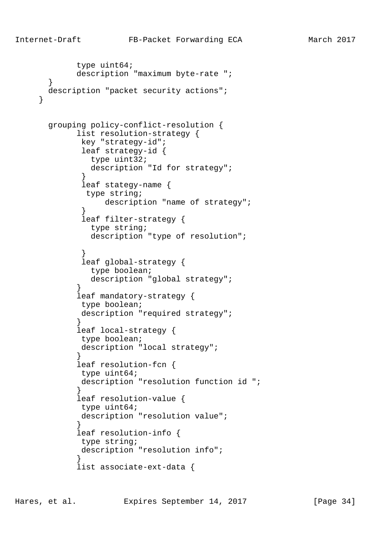```
 type uint64;
            description "maximum byte-rate ";
 }
      description "packet security actions";
       grouping policy-conflict-resolution {
             list resolution-strategy {
             key "strategy-id";
              leaf strategy-id {
               type uint32;
               description "Id for strategy";
 }
              leaf stategy-name {
              type string;
                  description "name of strategy";
 }
              leaf filter-strategy {
               type string;
               description "type of resolution";
 }
              leaf global-strategy {
               type boolean;
              description "global strategy";
 }
             leaf mandatory-strategy {
              type boolean;
             description "required strategy";
 }
             leaf local-strategy {
             type boolean;
             description "local strategy";
 }
             leaf resolution-fcn {
             type uint64;
             description "resolution function id ";
 }
             leaf resolution-value {
              type uint64;
             description "resolution value";
 }
             leaf resolution-info {
             type string;
             description "resolution info";
 }
             list associate-ext-data {
```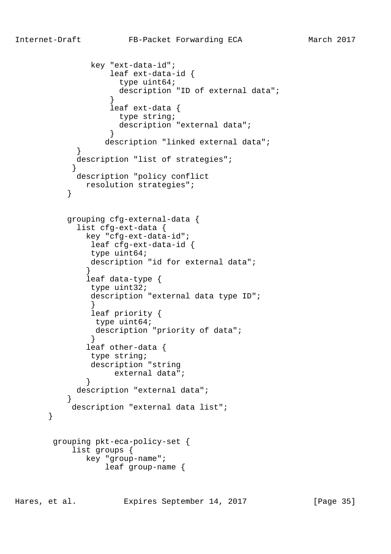```
 key "ext-data-id";
                   leaf ext-data-id {
                    type uint64;
                    description "ID of external data";
 }
                   leaf ext-data {
                    type string;
                    description "external data";
 }
                  description "linked external data";
 }
            description "list of strategies";
 }
            description "policy conflict
              resolution strategies";
 }
          grouping cfg-external-data {
            list cfg-ext-data {
              key "cfg-ext-data-id";
               leaf cfg-ext-data-id {
               type uint64;
               description "id for external data";
 }
              leaf data-type {
               type uint32;
               description "external data type ID";
 }
               leaf priority {
               type uint64;
                description "priority of data";
 }
              leaf other-data {
               type string;
               description "string
                   external data";
 }
            description "external data";
 }
           description "external data list";
        grouping pkt-eca-policy-set {
           list groups {
              key "group-name";
                  leaf group-name {
```
Hares, et al. Expires September 14, 2017 [Page 35]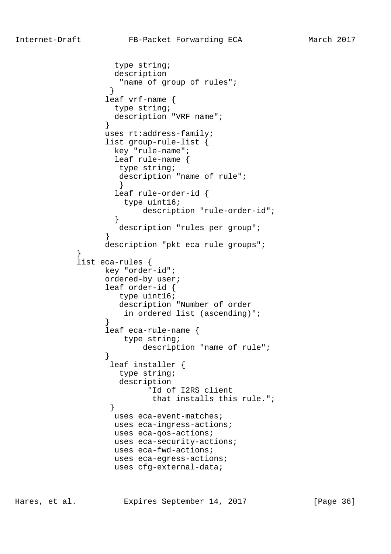```
 type string;
                   description
                    "name of group of rules";
 }
                  leaf vrf-name {
                   type string;
                   description "VRF name";
 }
                  uses rt:address-family;
                  list group-rule-list {
                   key "rule-name";
                   leaf rule-name {
                    type string;
                    description "name of rule";
 }
                   leaf rule-order-id {
                     type uint16;
                         description "rule-order-id";
 }
                    description "rules per group";
 }
                  description "pkt eca rule groups";
            list eca-rules {
                  key "order-id";
                  ordered-by user;
                  leaf order-id {
                    type uint16;
                    description "Number of order
                     in ordered list (ascending)";
 }
                  leaf eca-rule-name {
                     type string;
                        description "name of rule";
 }
                  leaf installer {
                    type string;
                    description
                         "Id of I2RS client
                          that installs this rule.";
 }
                   uses eca-event-matches;
                   uses eca-ingress-actions;
                   uses eca-qos-actions;
                   uses eca-security-actions;
                   uses eca-fwd-actions;
                   uses eca-egress-actions;
                   uses cfg-external-data;
```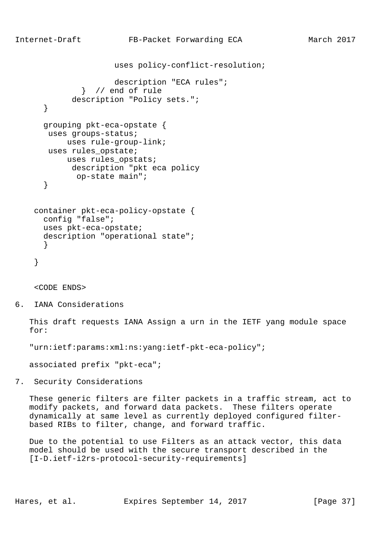}

```
 uses policy-conflict-resolution;
                  description "ECA rules";
           } // end of rule
         description "Policy sets.";
  grouping pkt-eca-opstate {
   uses groups-status;
       uses rule-group-link;
   uses rules_opstate;
       uses rules_opstats;
         description "pkt eca policy
          op-state main";
 container pkt-eca-policy-opstate {
  config "false";
```

```
 uses pkt-eca-opstate;
      description "operational state";
 }
```

```
 }
```
<CODE ENDS>

6. IANA Considerations

 This draft requests IANA Assign a urn in the IETF yang module space for:

"urn:ietf:params:xml:ns:yang:ietf-pkt-eca-policy";

associated prefix "pkt-eca";

7. Security Considerations

 These generic filters are filter packets in a traffic stream, act to modify packets, and forward data packets. These filters operate dynamically at same level as currently deployed configured filter based RIBs to filter, change, and forward traffic.

 Due to the potential to use Filters as an attack vector, this data model should be used with the secure transport described in the [I-D.ietf-i2rs-protocol-security-requirements]

Hares, et al. Expires September 14, 2017 [Page 37]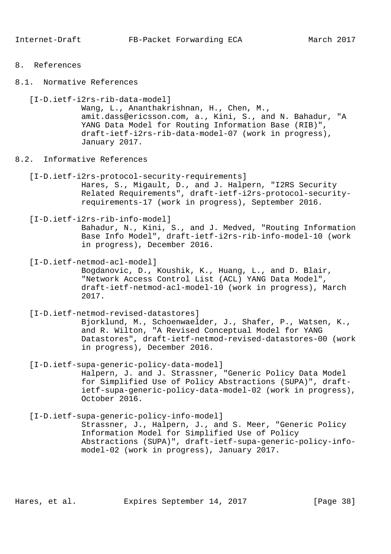- 8. References
- 8.1. Normative References

 [I-D.ietf-i2rs-rib-data-model] Wang, L., Ananthakrishnan, H., Chen, M., amit.dass@ericsson.com, a., Kini, S., and N. Bahadur, "A YANG Data Model for Routing Information Base (RIB)", draft-ietf-i2rs-rib-data-model-07 (work in progress), January 2017.

- 8.2. Informative References
	- [I-D.ietf-i2rs-protocol-security-requirements] Hares, S., Migault, D., and J. Halpern, "I2RS Security Related Requirements", draft-ietf-i2rs-protocol-security requirements-17 (work in progress), September 2016.
	- [I-D.ietf-i2rs-rib-info-model] Bahadur, N., Kini, S., and J. Medved, "Routing Information Base Info Model", draft-ietf-i2rs-rib-info-model-10 (work in progress), December 2016.
	- [I-D.ietf-netmod-acl-model] Bogdanovic, D., Koushik, K., Huang, L., and D. Blair, "Network Access Control List (ACL) YANG Data Model", draft-ietf-netmod-acl-model-10 (work in progress), March 2017.

 [I-D.ietf-netmod-revised-datastores] Bjorklund, M., Schoenwaelder, J., Shafer, P., Watsen, K., and R. Wilton, "A Revised Conceptual Model for YANG Datastores", draft-ietf-netmod-revised-datastores-00 (work in progress), December 2016.

 [I-D.ietf-supa-generic-policy-data-model] Halpern, J. and J. Strassner, "Generic Policy Data Model for Simplified Use of Policy Abstractions (SUPA)", draft ietf-supa-generic-policy-data-model-02 (work in progress), October 2016.

 [I-D.ietf-supa-generic-policy-info-model] Strassner, J., Halpern, J., and S. Meer, "Generic Policy Information Model for Simplified Use of Policy Abstractions (SUPA)", draft-ietf-supa-generic-policy-info model-02 (work in progress), January 2017.

Hares, et al. Expires September 14, 2017 [Page 38]